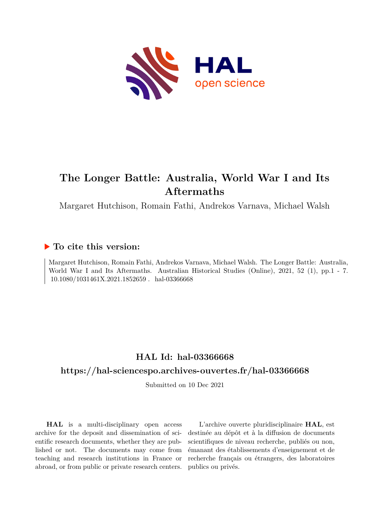

# **The Longer Battle: Australia, World War I and Its Aftermaths**

Margaret Hutchison, Romain Fathi, Andrekos Varnava, Michael Walsh

### **To cite this version:**

Margaret Hutchison, Romain Fathi, Andrekos Varnava, Michael Walsh. The Longer Battle: Australia, World War I and Its Aftermaths. Australian Historical Studies (Online), 2021, 52 (1), pp.1 - 7.  $10.1080/1031461X.2021.1852659$ . hal-03366668

### **HAL Id: hal-03366668**

#### **<https://hal-sciencespo.archives-ouvertes.fr/hal-03366668>**

Submitted on 10 Dec 2021

**HAL** is a multi-disciplinary open access archive for the deposit and dissemination of scientific research documents, whether they are published or not. The documents may come from teaching and research institutions in France or abroad, or from public or private research centers.

L'archive ouverte pluridisciplinaire **HAL**, est destinée au dépôt et à la diffusion de documents scientifiques de niveau recherche, publiés ou non, émanant des établissements d'enseignement et de recherche français ou étrangers, des laboratoires publics ou privés.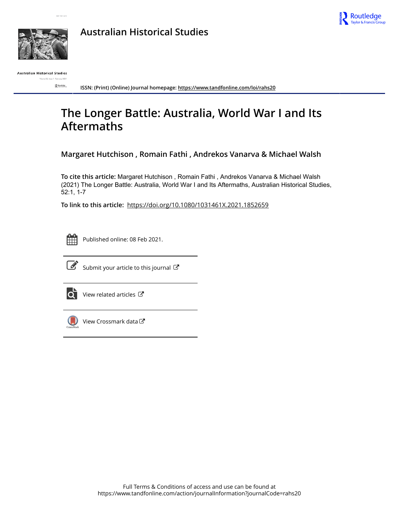







Australian Historical Studies

 $R$  southose

**ISSN: (Print) (Online) Journal homepage:<https://www.tandfonline.com/loi/rahs20>**

## **The Longer Battle: Australia, World War I and Its Aftermaths**

**Margaret Hutchison , Romain Fathi , Andrekos Vanarva & Michael Walsh**

**To cite this article:** Margaret Hutchison , Romain Fathi , Andrekos Vanarva & Michael Walsh (2021) The Longer Battle: Australia, World War I and Its Aftermaths, Australian Historical Studies, 52:1, 1-7

**To link to this article:** <https://doi.org/10.1080/1031461X.2021.1852659>



Published online: 08 Feb 2021.



 $\overrightarrow{S}$  [Submit your article to this journal](https://www.tandfonline.com/action/authorSubmission?journalCode=rahs20&show=instructions)  $\overrightarrow{S}$ 



[View related articles](https://www.tandfonline.com/doi/mlt/10.1080/1031461X.2021.1852659)  $\mathbb{Z}$ 



[View Crossmark data](http://crossmark.crossref.org/dialog/?doi=10.1080/1031461X.2021.1852659&domain=pdf&date_stamp=2021-02-08)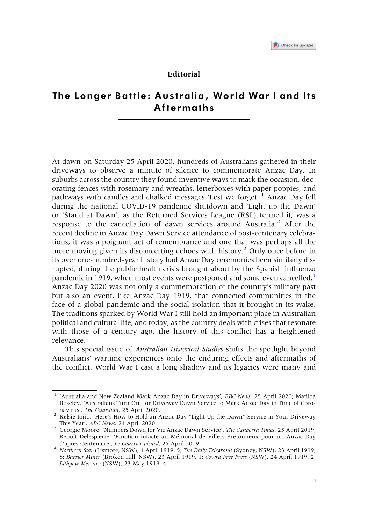#### Editorial

#### The Longer Battle: Australia, World War I and Its Aftermaths

At dawn on Saturday 25 April 2020, hundreds of Australians gathered in their driveways to observe a minute of silence to commemorate Anzac Day. In suburbs across the country they found inventive ways to mark the occasion, decorating fences with rosemary and wreaths, letterboxes with paper poppies, and pathways with candles and chalked messages 'Lest we forget'.<sup>[1](#page-2-0)</sup> Anzac Day fell during the national COVID-19 pandemic shutdown and 'Light up the Dawn' or 'Stand at Dawn', as the Returned Services League (RSL) termed it, was a response to the cancellation of dawn services around Australia. $<sup>2</sup>$  $<sup>2</sup>$  $<sup>2</sup>$  After the</sup> recent decline in Anzac Day Dawn Service attendance of post-centenary celebrations, it was a poignant act of remembrance and one that was perhaps all the more moving given its disconcerting echoes with history.<sup>[3](#page-2-2)</sup> Only once before in its over one-hundred-year history had Anzac Day ceremonies been similarly disrupted, during the public health crisis brought about by the Spanish influenza pandemic in 1919, when most events were postponed and some even cancelled.<sup>4</sup> Anzac Day 2020 was not only a commemoration of the country's military past but also an event, like Anzac Day 1919, that connected communities in the face of a global pandemic and the social isolation that it brought in its wake. The traditions sparked by World War I still hold an important place in Australian political and cultural life, and today, as the country deals with crises that resonate with those of a century ago, the history of this conflict has a heightened relevance.

This special issue of *Australian Historical Studies* shifts the spotlight beyond Australians' wartime experiences onto the enduring effects and aftermaths of the conflict. World War I cast a long shadow and its legacies were many and

<span id="page-2-0"></span><sup>&</sup>lt;sup>1</sup> 'Australia and New Zealand Mark Anzac Day in Driveways', BBC News, 25 April 2020; Matilda Boseley, 'Australians Turn Out for Driveway Dawn Service to Mark Anzac Day in Time of Coro-

<span id="page-2-1"></span>navirus', The Guardian, 25 April 2020.<br><sup>2</sup> Kelsie Iorio, 'Here's How to Hold an Anzac Day "Light Up the Dawn" Service in Your Driveway This Year', ABC News, 24 April 2020.

<span id="page-2-2"></span><sup>&</sup>lt;sup>3</sup> Georgie Moore, 'Numbers Down for Vic Anzac Dawn Service', The Canberra Times, 25 April 2019; Benoît Delespierre, 'Emotion intacte au Mémorial de Villers-Bretonneux pour un Anzac Day d'après Centenaire', Le Courrier picard, 25 April 2019.

<span id="page-2-3"></span><sup>&</sup>lt;sup>4</sup> Northern Star (Lismore, NSW), 4 April 1919, 5; The Daily Telegraph (Sydney, NSW), 23 April 1919, 8; Barrier Miner (Broken Hill, NSW), 23 April 1919, 1; Cowra Free Press (NSW), 24 April 1919, 2; Lithgow Mercury (NSW), 23 May 1919, 4.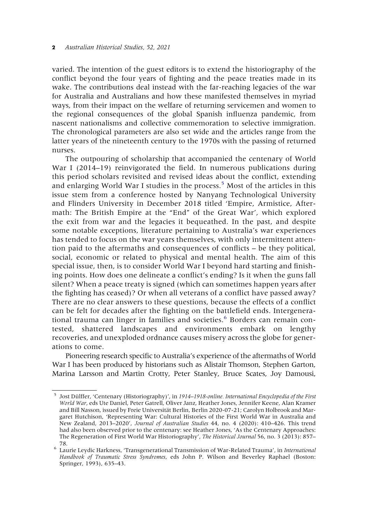varied. The intention of the guest editors is to extend the historiography of the conflict beyond the four years of fighting and the peace treaties made in its wake. The contributions deal instead with the far-reaching legacies of the war for Australia and Australians and how these manifested themselves in myriad ways, from their impact on the welfare of returning servicemen and women to the regional consequences of the global Spanish influenza pandemic, from nascent nationalisms and collective commemoration to selective immigration. The chronological parameters are also set wide and the articles range from the latter years of the nineteenth century to the 1970s with the passing of returned nurses.

The outpouring of scholarship that accompanied the centenary of World War I (2014–19) reinvigorated the field. In numerous publications during this period scholars revisited and revised ideas about the conflict, extending and enlarging World War I studies in the process.<sup>[5](#page-3-0)</sup> Most of the articles in this issue stem from a conference hosted by Nanyang Technological University and Flinders University in December 2018 titled 'Empire, Armistice, Aftermath: The British Empire at the "End" of the Great War', which explored the exit from war and the legacies it bequeathed. In the past, and despite some notable exceptions, literature pertaining to Australia's war experiences has tended to focus on the war years themselves, with only intermittent attention paid to the aftermaths and consequences of conflicts – be they political, social, economic or related to physical and mental health. The aim of this special issue, then, is to consider World War I beyond hard starting and finishing points. How does one delineate a conflict's ending? Is it when the guns fall silent? When a peace treaty is signed (which can sometimes happen years after the fighting has ceased)? Or when all veterans of a conflict have passed away? There are no clear answers to these questions, because the effects of a conflict can be felt for decades after the fighting on the battlefield ends. Intergenera-tional trauma can linger in families and societies.<sup>[6](#page-3-1)</sup> Borders can remain contested, shattered landscapes and environments embark on lengthy recoveries, and unexploded ordnance causes misery across the globe for generations to come.

Pioneering research specific to Australia's experience of the aftermaths of World War I has been produced by historians such as Alistair Thomson, Stephen Garton, Marina Larsson and Martin Crotty, Peter Stanley, Bruce Scates, Joy Damousi,

<span id="page-3-0"></span><sup>&</sup>lt;sup>5</sup> Jost Dülffer, 'Centenary (Historiography)', in 1914–1918-online. International Encyclopedia of the First World War, eds Ute Daniel, Peter Gatrell, Oliver Janz, Heather Jones, Jennifer Keene, Alan Kramer and Bill Nasson, issued by Freie Universität Berlin, Berlin 2020-07-21; Carolyn Holbrook and Margaret Hutchison, 'Representing War: Cultural Histories of the First World War in Australia and New Zealand, 2013–2020', Journal of Australian Studies 44, no. 4 (2020): 410–426. This trend had also been observed prior to the centenary: see Heather Jones, 'As the Centenary Approaches: The Regeneration of First World War Historiography', The Historical Journal 56, no. 3 (2013): 857–

<span id="page-3-1"></span><sup>78.&</sup>lt;br><sup>6</sup> Laurie Leydic Harkness, 'Transgenerational Transmission of War-Related Trauma', in *International* Handbook of Traumatic Stress Syndromes, eds John P. Wilson and Beverley Raphael (Boston: Springer, 1993), 635–43.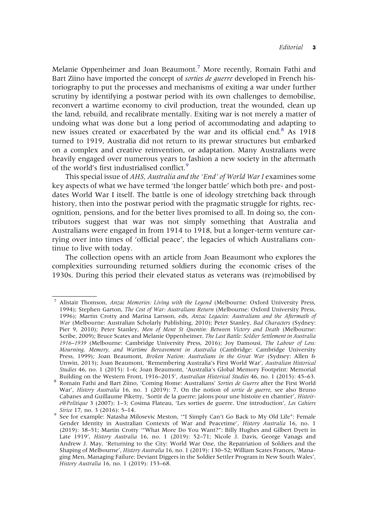Melanie Oppenheimer and Joan Beaumont.<sup>7</sup> More recently, Romain Fathi and Bart Ziino have imported the concept of *sorties de querre* developed in French historiography to put the processes and mechanisms of exiting a war under further scrutiny by identifying a postwar period with its own challenges to demobilise, reconvert a wartime economy to civil production, treat the wounded, clean up the land, rebuild, and recalibrate mentally. Exiting war is not merely a matter of undoing what was done but a long period of accommodating and adapting to new issues created or exacerbated by the war and its official end.<sup>[8](#page-4-1)</sup> As 1918 turned to 1919, Australia did not return to its prewar structures but embarked on a complex and creative reinvention, or adaptation. Many Australians were heavily engaged over numerous years to fashion a new society in the aftermath of the world's first industrialised conflict.<sup>9</sup>

This special issue of AHS, Australia and the 'End' of World War I examines some key aspects of what we have termed 'the longer battle' which both pre- and postdates World War I itself. The battle is one of ideology stretching back through history, then into the postwar period with the pragmatic struggle for rights, recognition, pensions, and for the better lives promised to all. In doing so, the contributors suggest that war was not simply something that Australia and Australians were engaged in from 1914 to 1918, but a longer-term venture carrying over into times of 'official peace', the legacies of which Australians continue to live with today.

The collection opens with an article from Joan Beaumont who explores the complexities surrounding returned soldiers during the economic crises of the 1930s. During this period their elevated status as veterans was (re)mobilised by

<span id="page-4-0"></span><sup>7</sup> Alistair Thomson, Anzac Memories: Living with the Legend (Melbourne: Oxford University Press, 1994); Stephen Garton, The Cost of War: Australians Return (Melbourne: Oxford University Press, 1996); Martin Crotty and Marina Larsson, eds, Anzac Legacies: Australians and the Aftermath of War (Melbourne: Australian Scholarly Publishing, 2010); Peter Stanley, Bad Characters (Sydney: Pier 9, 2010); Peter Stanley, Men of Mont St Quentin: Between Victory and Death (Melbourne: Scribe, 2009); Bruce Scates and Melanie Oppenheimer, The Last Battle: Soldier Settlement in Australia 1916–1939 (Melbourne: Cambridge University Press, 2016); Joy Damousi, The Labour of Loss: Mourning, Memory, and Wartime Bereavement in Australia (Cambridge: Cambridge University Press, 1999); Joan Beaumont, Broken Nation: Australians in the Great War (Sydney: Allen & Unwin, 2013); Joan Beaumont, 'Remembering Australia's First World War', Australian Historical Studies 46, no. 1 (2015): 1–6; Joan Beaumont, 'Australia's Global Memory Footprint: Memorial Building on the Western Front, 1916–2015', Australian Historical Studies 46, no. 1 (2015): 45–63.

<span id="page-4-1"></span><sup>&</sup>lt;sup>8</sup> Romain Fathi and Bart Ziino, 'Coming Home: Australians' Sorties de Guerre after the First World War', History Australia 16, no. 1 (2019): 7. On the notion of sortie de querre, see also Bruno Cabanes and Guillaume Piketty, 'Sortir de la guerre: jalons pour une histoire en chantier', Histoire@Politique 3 (2007): 1–3; Cosima Flateau, 'Les sorties de guerre. Une introduction', Les Cahiers

<span id="page-4-2"></span>Sirice 17, no. 3 (2016): 5–14.<br><sup>9</sup> See for example: Natasha Milosevic Meston, "I Simply Can't Go Back to My Old Life": Female Gender Identity in Australian Contexts of War and Peacetime', History Australia 16, no. 1 (2019): 38–51; Martin Crotty '"What More Do You Want?": Billy Hughes and Gilbert Dyett in Late 1919', History Australia 16, no. 1 (2019): 52–71; Nicole J. Davis, George Vanags and Andrew J. May, 'Returning to the City: World War One, the Repatriation of Soldiers and the Shaping of Melbourne', History Australia 16, no. 1 (2019): 130–52; William Scates Frances, 'Managing Men, Managing Failure: Deviant Diggers in the Soldier Settler Program in New South Wales', History Australia 16, no. 1 (2019): 153–68.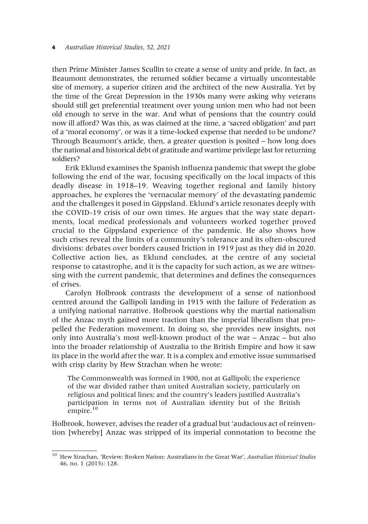then Prime Minister James Scullin to create a sense of unity and pride. In fact, as Beaumont demonstrates, the returned soldier became a virtually uncontestable site of memory, a superior citizen and the architect of the new Australia. Yet by the time of the Great Depression in the 1930s many were asking why veterans should still get preferential treatment over young union men who had not been old enough to serve in the war. And what of pensions that the country could now ill afford? Was this, as was claimed at the time, a 'sacred obligation' and part of a 'moral economy', or was it a time-locked expense that needed to be undone? Through Beaumont's article, then, a greater question is posited – how long does the national and historical debt of gratitude and wartime privilege last for returning soldiers?

Erik Eklund examines the Spanish influenza pandemic that swept the globe following the end of the war, focusing specifically on the local impacts of this deadly disease in 1918–19. Weaving together regional and family history approaches, he explores the 'vernacular memory' of the devastating pandemic and the challenges it posed in Gippsland. Eklund's article resonates deeply with the COVID-19 crisis of our own times. He argues that the way state departments, local medical professionals and volunteers worked together proved crucial to the Gippsland experience of the pandemic. He also shows how such crises reveal the limits of a community's tolerance and its often-obscured divisions: debates over borders caused friction in 1919 just as they did in 2020. Collective action lies, as Eklund concludes, at the centre of any societal response to catastrophe, and it is the capacity for such action, as we are witnessing with the current pandemic, that determines and defines the consequences of crises.

Carolyn Holbrook contrasts the development of a sense of nationhood centred around the Gallipoli landing in 1915 with the failure of Federation as a unifying national narrative. Holbrook questions why the martial nationalism of the Anzac myth gained more traction than the imperial liberalism that propelled the Federation movement. In doing so, she provides new insights, not only into Australia's most well-known product of the war – Anzac – but also into the broader relationship of Australia to the British Empire and how it saw its place in the world after the war. It is a complex and emotive issue summarised with crisp clarity by Hew Strachan when he wrote:

The Commonwealth was formed in 1900, not at Gallipoli; the experience of the war divided rather than united Australian society, particularly on religious and political lines; and the country's leaders justified Australia's participation in terms not of Australian identity but of the British empire.<sup>[10](#page-5-0)</sup>

Holbrook, however, advises the reader of a gradual but 'audacious act of reinvention [whereby] Anzac was stripped of its imperial connotation to become the

<span id="page-5-0"></span><sup>&</sup>lt;sup>10</sup> Hew Strachan, 'Review: Broken Nation: Australians in the Great War', Australian Historical Studies 46, no. 1 (2015): 128.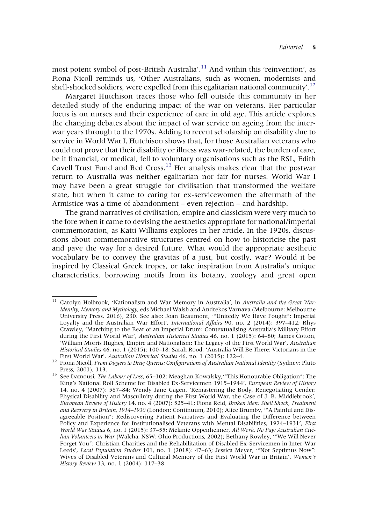most potent symbol of post-British Australia'.<sup>[11](#page-6-0)</sup> And within this 'reinvention', as Fiona Nicoll reminds us, 'Other Australians, such as women, modernists and shell-shocked soldiers, were expelled from this egalitarian national community'.<sup>[12](#page-6-1)</sup>

Margaret Hutchison traces those who fell outside this community in her detailed study of the enduring impact of the war on veterans. Her particular focus is on nurses and their experience of care in old age. This article explores the changing debates about the impact of war service on ageing from the interwar years through to the 1970s. Adding to recent scholarship on disability due to service in World War I, Hutchison shows that, for those Australian veterans who could not prove that their disability or illness was war-related, the burden of care, be it financial, or medical, fell to voluntary organisations such as the RSL, Edith Cavell Trust Fund and Red Cross.<sup>[13](#page-6-2)</sup> Her analysis makes clear that the postwar return to Australia was neither egalitarian nor fair for nurses. World War I may have been a great struggle for civilisation that transformed the welfare state, but when it came to caring for ex-servicewomen the aftermath of the Armistice was a time of abandonment – even rejection – and hardship.

The grand narratives of civilisation, empire and classicism were very much to the fore when it came to devising the aesthetics appropriate for national/imperial commemoration, as Katti Williams explores in her article. In the 1920s, discussions about commemorative structures centred on how to historicise the past and pave the way for a desired future. What would the appropriate aesthetic vocabulary be to convey the gravitas of a just, but costly, war? Would it be inspired by Classical Greek tropes, or take inspiration from Australia's unique characteristics, borrowing motifs from its botany, zoology and great open

<span id="page-6-0"></span><sup>&</sup>lt;sup>11</sup> Carolyn Holbrook, 'Nationalism and War Memory in Australia', in Australia and the Great War: Identity, Memory and Mythology, eds Michael Walsh and Andrekos Varnava (Melbourne: Melbourne University Press, 2016), 230. See also: Joan Beaumont, '"Unitedly We Have Fought": Imperial Loyalty and the Australian War Effort', International Affairs 90, no. 2 (2014): 397-412; Rhys Crawley, 'Marching to the Beat of an Imperial Drum: Contextualising Australia's Military Effort during the First World War', Australian Historical Studies 46, no. 1 (2015): 64-80; James Cotton, 'William Morris Hughes, Empire and Nationalism: The Legacy of the First World War', Australian Historical Studies 46, no. 1 (2015): 100–18; Sarah Rood, 'Australia Will Be There: Victorians in the

<span id="page-6-1"></span>First World War', Australian Historical Studies 46, no. 1 (2015): 122–4.<br><sup>12</sup> Fiona Nicoll, From Diggers to Drag Queens: Configurations of Australian National Identity (Sydney: Pluto Press, 2001), 113.<br><sup>13</sup> See Damousi, *The Labour of Loss*, 65–102; Meaghan Kowalsky,'"This Honourable Obligation": The

<span id="page-6-2"></span>King's National Roll Scheme for Disabled Ex-Servicemen 1915–1944', European Review of History 14, no. 4 (2007): 567–84; Wendy Jane Gagen, 'Remastering the Body, Renegotiating Gender: Physical Disability and Masculinity during the First World War, the Case of J. B. Middlebrook', European Review of History 14, no. 4 (2007): 525–41; Fiona Reid, Broken Men: Shell Shock, Treatment and Recovery in Britain, 1914–1930 (London: Continuum, 2010); Alice Brumby, '"A Painful and Disagreeable Position": Rediscovering Patient Narratives and Evaluating the Difference between Policy and Experience for Institutionalised Veterans with Mental Disabilities, 1924–1931', First World War Studies 6, no. 1 (2015): 37–55; Melanie Oppenheimer, All Work, No Pay: Australian Civilian Volunteers in War (Walcha, NSW: Ohio Productions, 2002); Bethany Rowley, "We Will Never Forget You": Christian Charities and the Rehabilitation of Disabled Ex-Servicemen in Inter-War Leeds', Local Population Studies 101, no. 1 (2018): 47–63; Jessica Meyer, '"Not Septimus Now": Wives of Disabled Veterans and Cultural Memory of the First World War in Britain', Women's History Review 13, no. 1 (2004): 117–38.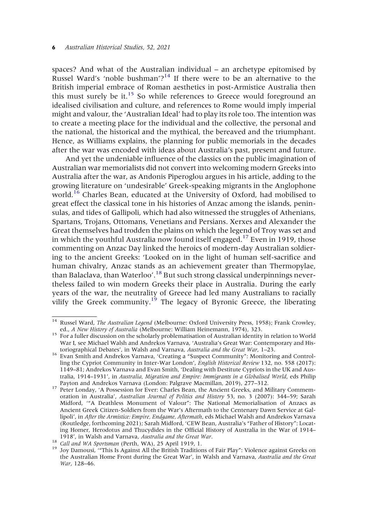spaces? And what of the Australian individual – an archetype epitomised by Russel Ward's 'noble bushman'?<sup>14</sup> If there were to be an alternative to the British imperial embrace of Roman aesthetics in post-Armistice Australia then this must surely be it.<sup>[15](#page-7-1)</sup> So while references to Greece would foreground an idealised civilisation and culture, and references to Rome would imply imperial might and valour, the 'Australian Ideal' had to play its role too. The intention was to create a meeting place for the individual and the collective, the personal and the national, the historical and the mythical, the bereaved and the triumphant. Hence, as Williams explains, the planning for public memorials in the decades after the war was encoded with ideas about Australia's past, present and future.

And yet the undeniable influence of the classics on the public imagination of Australian war memorialists did not convert into welcoming modern Greeks into Australia after the war, as Andonis Piperoglou argues in his article, adding to the growing literature on 'undesirable' Greek-speaking migrants in the Anglophone world.<sup>[16](#page-7-2)</sup> Charles Bean, educated at the University of Oxford, had mobilised to great effect the classical tone in his histories of Anzac among the islands, peninsulas, and tides of Gallipoli, which had also witnessed the struggles of Athenians, Spartans, Trojans, Ottomans, Venetians and Persians. Xerxes and Alexander the Great themselves had trodden the plains on which the legend of Troy was set and in which the youthful Australia now found itself engaged.<sup>17</sup> Even in 1919, those commenting on Anzac Day linked the heroics of modern-day Australian soldiering to the ancient Greeks: 'Looked on in the light of human self-sacrifice and human chivalry, Anzac stands as an achievement greater than Thermopylae, than Balaclava, than Waterloo'.<sup>[18](#page-7-4)</sup> But such strong classical underpinnings nevertheless failed to win modern Greeks their place in Australia. During the early years of the war, the neutrality of Greece had led many Australians to racially vilify the Greek community.<sup>[19](#page-7-5)</sup> The legacy of Byronic Greece, the liberating

<span id="page-7-1"></span><span id="page-7-0"></span><sup>&</sup>lt;sup>14</sup> Russel Ward, *The Australian Legend* (Melbourne: Oxford University Press, 1958); Frank Crowley, ed., *A New History of Australia* (Melbourne: William Heinemann, 1974), 323.

 $\frac{15}{15}$  For a fuller discussion on the scholarly problematisation of Australian identity in relation to World War I, see Michael Walsh and Andrekos Varnava, 'Australia's Great War: Contemporary and Historiographical Debates', in Walsh and Varnava, Australia and the Great War, 1-23.

<span id="page-7-2"></span><sup>&</sup>lt;sup>16</sup> Evan Smith and Andrekos Varnava, 'Creating a "Suspect Community": Monitoring and Controlling the Cypriot Community in Inter-War London', English Historical Review 132, no. 558 (2017): 1149–81; Andrekos Varnava and Evan Smith, 'Dealing with Destitute Cypriots in the UK and Australia, 1914–1931', in Australia, Migration and Empire: Immigrants in a Globalised World, eds Philip<br>Payton and Andrekos Varnava (London: Palgrave Macmillan, 2019), 277–312.

<span id="page-7-3"></span><sup>&</sup>lt;sup>17</sup> Peter Londav, 'A Possession for Ever: Charles Bean, the Ancient Greeks, and Military Commemoration in Australia', Australian Journal of Politics and History 53, no. 3 (2007): 344–59; Sarah Midford, '"A Deathless Monument of Valour": The National Memorialisation of Anzacs as Ancient Greek Citizen-Soldiers from the War's Aftermath to the Centenary Dawn Service at Gallipoli', in After the Armistice: Empire, Endgame, Aftermath, eds Michael Walsh and Andrekos Varnava (Routledge, forthcoming 2021); Sarah Midford, 'CEW Bean, Australia's "Father of History": Locating Homer, Herodotus and Thucydides in the Official History of Australia in the War of 1914–1918', in Walsh and Varnava, Australia and the Great War.

<span id="page-7-5"></span><span id="page-7-4"></span><sup>&</sup>lt;sup>18</sup> Call and WA Sportsman (Perth, WA), 25 April 1919, 1.<br><sup>19</sup> Joy Damousi, '"This Is Against All the British Traditions of Fair Play": Violence against Greeks on the Australian Home Front during the Great War', in Walsh and Varnava, Australia and the Great War, 128–46.